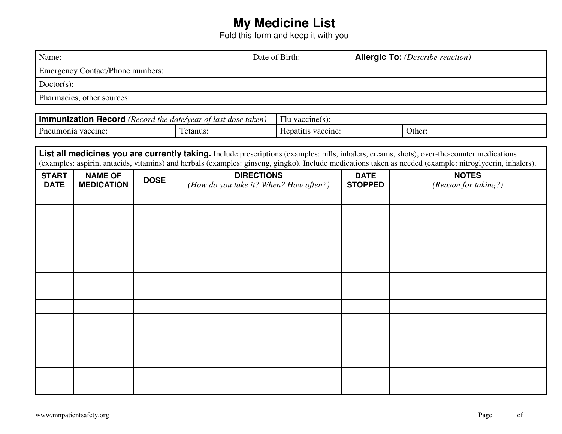## **My Medicine List**

Fold this form and keep it with you

| Name:                                   | Date of Birth: | <b>Allergic To:</b> (Describe reaction) |
|-----------------------------------------|----------------|-----------------------------------------|
| <b>Emergency Contact/Phone numbers:</b> |                |                                         |
| $Doctor(s)$ :                           |                |                                         |
| Pharmacies, other sources:              |                |                                         |

| $\sim$<br><b>Record</b><br>the<br>. Record<br>nec       | taken<br>, date/vear<br>. dose<br>last<br>Ωt | vaccine( $s$<br>Flu      |        |  |
|---------------------------------------------------------|----------------------------------------------|--------------------------|--------|--|
| $\overline{\phantom{0}}$<br>Umair<br>vaccine:<br>umonia | etanus                                       | patiti<br>accine:<br>Her | Other. |  |

| List all medicines you are currently taking. Include prescriptions (examples: pills, inhalers, creams, shots), over-the-counter medications<br>(examples: aspirin, antacids, vitamins) and herbals (examples: ginseng, gingko). Include medications taken as needed (example: nitroglycerin, inhalers). |                                     |             |                                                             |                               |                                      |  |
|---------------------------------------------------------------------------------------------------------------------------------------------------------------------------------------------------------------------------------------------------------------------------------------------------------|-------------------------------------|-------------|-------------------------------------------------------------|-------------------------------|--------------------------------------|--|
| <b>START</b><br><b>DATE</b>                                                                                                                                                                                                                                                                             | <b>NAME OF</b><br><b>MEDICATION</b> | <b>DOSE</b> | <b>DIRECTIONS</b><br>(How do you take it? When? How often?) | <b>DATE</b><br><b>STOPPED</b> | <b>NOTES</b><br>(Reason for taking?) |  |
|                                                                                                                                                                                                                                                                                                         |                                     |             |                                                             |                               |                                      |  |
|                                                                                                                                                                                                                                                                                                         |                                     |             |                                                             |                               |                                      |  |
|                                                                                                                                                                                                                                                                                                         |                                     |             |                                                             |                               |                                      |  |
|                                                                                                                                                                                                                                                                                                         |                                     |             |                                                             |                               |                                      |  |
|                                                                                                                                                                                                                                                                                                         |                                     |             |                                                             |                               |                                      |  |
|                                                                                                                                                                                                                                                                                                         |                                     |             |                                                             |                               |                                      |  |
|                                                                                                                                                                                                                                                                                                         |                                     |             |                                                             |                               |                                      |  |
|                                                                                                                                                                                                                                                                                                         |                                     |             |                                                             |                               |                                      |  |
|                                                                                                                                                                                                                                                                                                         |                                     |             |                                                             |                               |                                      |  |
|                                                                                                                                                                                                                                                                                                         |                                     |             |                                                             |                               |                                      |  |